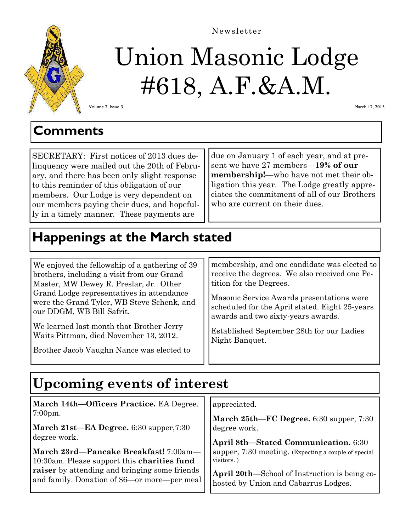

## Newsletter

# Union Masonic Lodge #618, A.F.&A.M.

Volume 2, Issue 3

March 12, 2013

## **Comments**

SECRETARY: First notices of 2013 dues delinquency were mailed out the 20th of February, and there has been only slight response to this reminder of this obligation of our members. Our Lodge is very dependent on our members paying their dues, and hopefully in a timely manner. These payments are

due on January 1 of each year, and at present we have 27 members—**19% of our membership!—**who have not met their obligation this year. The Lodge greatly appreciates the commitment of all of our Brothers who are current on their dues.

# **Happenings at the March stated**

We enjoyed the fellowship of a gathering of 39 brothers, including a visit from our Grand Master, MW Dewey R. Preslar, Jr. Other Grand Lodge representatives in attendance were the Grand Tyler, WB Steve Schenk, and our DDGM, WB Bill Safrit.

We learned last month that Brother Jerry Waits Pittman, died November 13, 2012.

Brother Jacob Vaughn Nance was elected to

membership, and one candidate was elected to receive the degrees. We also received one Petition for the Degrees.

Masonic Service Awards presentations were scheduled for the April stated. Eight 25-years awards and two sixty-years awards.

Established September 28th for our Ladies Night Banquet.

# **Upcoming events of interest**

| March 14th-Officers Practice. EA Degree.                                                             | appreciated.                                                                          |  |
|------------------------------------------------------------------------------------------------------|---------------------------------------------------------------------------------------|--|
| $7:00 \text{pm}.$                                                                                    | March 25th—FC Degree. 6:30 supper, 7:30                                               |  |
| March 21st-EA Degree. 6:30 supper, 7:30                                                              | degree work.                                                                          |  |
| degree work.                                                                                         | April 8th-Stated Communication. 6:30                                                  |  |
| March 23rd—Pancake Breakfast! 7:00am—                                                                | supper, 7:30 meeting. (Expecting a couple of special                                  |  |
| 10:30am. Please support this charities fund                                                          | visitors.)                                                                            |  |
| <b>raiser</b> by attending and bringing some friends<br>and family. Donation of \$6—or more—per meal | April 20th—School of Instruction is being co-<br>hosted by Union and Cabarrus Lodges. |  |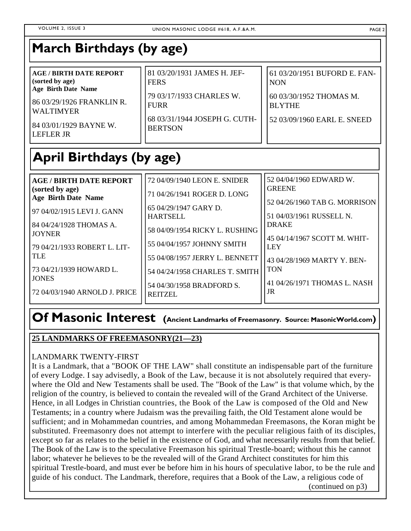| 81 03/20/1931 JAMES H. JEF-<br><b>AGE/BIRTH DATE REPORT</b><br>(sorted by age)<br><b>FERS</b><br>Age Birth Date Name<br>79 03/17/1933 CHARLES W.<br>86 03/29/1926 FRANKLIN R.<br><b>FURR</b><br><b>WALTIMYER</b><br>68 03/31/1944 JOSEPH G. CUTH-<br>84 03/01/1929 BAYNE W.<br><b>BERTSON</b><br>LEFLER JR | 61 03/20/1951 BUFORD E. FAN-<br><b>NON</b><br>60 03/30/1952 THOMAS M.<br><b>BLYTHE</b><br>52 03/09/1960 EARL E. SNEED |
|------------------------------------------------------------------------------------------------------------------------------------------------------------------------------------------------------------------------------------------------------------------------------------------------------------|-----------------------------------------------------------------------------------------------------------------------|
|------------------------------------------------------------------------------------------------------------------------------------------------------------------------------------------------------------------------------------------------------------------------------------------------------------|-----------------------------------------------------------------------------------------------------------------------|

# **April Birthdays (by age)**

| <b>AGE / BIRTH DATE REPORT</b>                | 72 04/09/1940 LEON E. SNIDER                | 52 04/04/1960 EDWARD W.                                   |
|-----------------------------------------------|---------------------------------------------|-----------------------------------------------------------|
| (sorted by age)<br><b>Age Birth Date Name</b> | 71 04/26/1941 ROGER D. LONG                 | <b>GREENE</b>                                             |
| 97 04/02/1915 LEVI J. GANN                    | 65 04/29/1947 GARY D.<br><b>HARTSELL</b>    | 52 04/26/1960 TAB G. MORRISON<br>51 04/03/1961 RUSSELL N. |
| 84 04/24/1928 THOMAS A.<br><b>JOYNER</b>      | 58 04/09/1954 RICKY L. RUSHING              | <b>DRAKE</b>                                              |
| 79 04/21/1933 ROBERT L. LIT-                  | 55 04/04/1957 JOHNNY SMITH                  | 45 04/14/1967 SCOTT M. WHIT-<br><b>LEY</b>                |
| TLE                                           | 55 04/08/1957 JERRY L. BENNETT              | 43 04/28/1969 MARTY Y. BEN-                               |
| 73 04/21/1939 HOWARD L.<br><b>JONES</b>       | 54 04/24/1958 CHARLES T. SMITH              | <b>TON</b>                                                |
| 72 04/03/1940 ARNOLD J. PRICE                 | 54 04/30/1958 BRADFORD S.<br><b>REITZEL</b> | 41 04/26/1971 THOMAS L. NASH<br>JR                        |

# **Of Masonic Interest (Ancient Landmarks of Freemasonry. Source: MasonicWorld.com)**

## **25 LANDMARKS OF FREEMASONRY(21—23)**

## LANDMARK TWENTY-FIRST

It is a Landmark, that a "BOOK OF THE LAW" shall constitute an indispensable part of the furniture of every Lodge. I say advisedly, a Book of the Law, because it is not absolutely required that everywhere the Old and New Testaments shall be used. The "Book of the Law" is that volume which, by the religion of the country, is believed to contain the revealed will of the Grand Architect of the Universe. Hence, in all Lodges in Christian countries, the Book of the Law is composed of the Old and New Testaments; in a country where Judaism was the prevailing faith, the Old Testament alone would be sufficient; and in Mohammedan countries, and among Mohammedan Freemasons, the Koran might be substituted. Freemasonry does not attempt to interfere with the peculiar religious faith of its disciples, except so far as relates to the belief in the existence of God, and what necessarily results from that belief. The Book of the Law is to the speculative Freemason his spiritual Trestle-board; without this he cannot labor; whatever he believes to be the revealed will of the Grand Architect constitutes for him this spiritual Trestle-board, and must ever be before him in his hours of speculative labor, to be the rule and guide of his conduct. The Landmark, therefore, requires that a Book of the Law, a religious code of (continued on p3)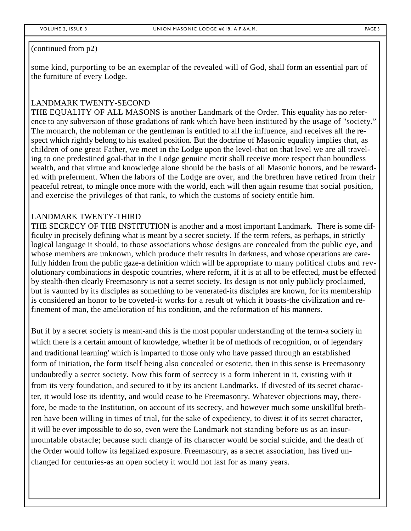#### (continued from p2)

some kind, purporting to be an exemplar of the revealed will of God, shall form an essential part of the furniture of every Lodge.

## LANDMARK TWENTY-SECOND

THE EQUALITY OF ALL MASONS is another Landmark of the Order. This equality has no reference to any subversion of those gradations of rank which have been instituted by the usage of "society." The monarch, the nobleman or the gentleman is entitled to all the influence, and receives all the respect which rightly belong to his exalted position. But the doctrine of Masonic equality implies that, as children of one great Father, we meet in the Lodge upon the level-that on that level we are all traveling to one predestined goal-that in the Lodge genuine merit shall receive more respect than boundless wealth, and that virtue and knowledge alone should be the basis of all Masonic honors, and be rewarded with preferment. When the labors of the Lodge are over, and the brethren have retired from their peaceful retreat, to mingle once more with the world, each will then again resume that social position, and exercise the privileges of that rank, to which the customs of society entitle him.

### LANDMARK TWENTY-THIRD

THE SECRECY OF THE INSTITUTION is another and a most important Landmark. There is some difficulty in precisely defining what is meant by a secret society. If the term refers, as perhaps, in strictly logical language it should, to those associations whose designs are concealed from the public eye, and whose members are unknown, which produce their results in darkness, and whose operations are carefully hidden from the public gaze-a definition which will be appropriate to many political clubs and revolutionary combinations in despotic countries, where reform, if it is at all to be effected, must be effected by stealth-then clearly Freemasonry is not a secret society. Its design is not only publicly proclaimed, but is vaunted by its disciples as something to be venerated-its disciples are known, for its membership is considered an honor to be coveted-it works for a result of which it boasts-the civilization and refinement of man, the amelioration of his condition, and the reformation of his manners.

But if by a secret society is meant-and this is the most popular understanding of the term-a society in which there is a certain amount of knowledge, whether it be of methods of recognition, or of legendary and traditional learning' which is imparted to those only who have passed through an established form of initiation, the form itself being also concealed or esoteric, then in this sense is Freemasonry undoubtedly a secret society. Now this form of secrecy is a form inherent in it, existing with it from its very foundation, and secured to it by its ancient Landmarks. If divested of its secret character, it would lose its identity, and would cease to be Freemasonry. Whatever objections may, therefore, be made to the Institution, on account of its secrecy, and however much some unskillful brethren have been willing in times of trial, for the sake of expediency, to divest it of its secret character, it will be ever impossible to do so, even were the Landmark not standing before us as an insurmountable obstacle; because such change of its character would be social suicide, and the death of the Order would follow its legalized exposure. Freemasonry, as a secret association, has lived unchanged for centuries-as an open society it would not last for as many years.